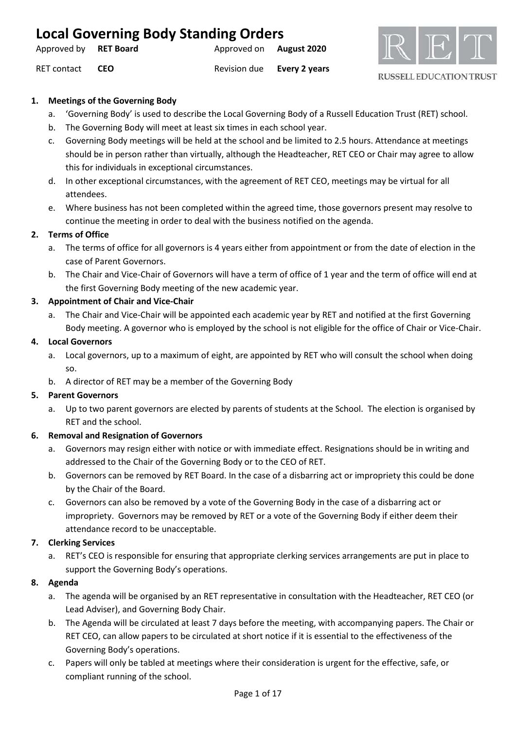| <b>Local Governing Body Standing Orders</b> |            |                                |                            |  |
|---------------------------------------------|------------|--------------------------------|----------------------------|--|
| Approved by RET Board                       |            | Approved on <b>August 2020</b> |                            |  |
| RET contact                                 | <b>CEO</b> |                                | Revision due Every 2 years |  |



### **1. Meetings of the Governing Body**

- a. 'Governing Body' is used to describe the Local Governing Body of a Russell Education Trust (RET) school.
- b. The Governing Body will meet at least six times in each school year.
- c. Governing Body meetings will be held at the school and be limited to 2.5 hours. Attendance at meetings should be in person rather than virtually, although the Headteacher, RET CEO or Chair may agree to allow this for individuals in exceptional circumstances.
- d. In other exceptional circumstances, with the agreement of RET CEO, meetings may be virtual for all attendees.
- e. Where business has not been completed within the agreed time, those governors present may resolve to continue the meeting in order to deal with the business notified on the agenda.

### **2. Terms of Office**

- a. The terms of office for all governors is 4 years either from appointment or from the date of election in the case of Parent Governors.
- b. The Chair and Vice-Chair of Governors will have a term of office of 1 year and the term of office will end at the first Governing Body meeting of the new academic year.

### **3. Appointment of Chair and Vice-Chair**

a. The Chair and Vice-Chair will be appointed each academic year by RET and notified at the first Governing Body meeting. A governor who is employed by the school is not eligible for the office of Chair or Vice-Chair.

### **4. Local Governors**

- a. Local governors, up to a maximum of eight, are appointed by RET who will consult the school when doing so.
- b. A director of RET may be a member of the Governing Body

### **5. Parent Governors**

a. Up to two parent governors are elected by parents of students at the School. The election is organised by RET and the school.

### **6. Removal and Resignation of Governors**

- a. Governors may resign either with notice or with immediate effect. Resignations should be in writing and addressed to the Chair of the Governing Body or to the CEO of RET.
- b. Governors can be removed by RET Board. In the case of a disbarring act or impropriety this could be done by the Chair of the Board.
- c. Governors can also be removed by a vote of the Governing Body in the case of a disbarring act or impropriety. Governors may be removed by RET or a vote of the Governing Body if either deem their attendance record to be unacceptable.

### **7. Clerking Services**

a. RET's CEO is responsible for ensuring that appropriate clerking services arrangements are put in place to support the Governing Body's operations.

### **8. Agenda**

- a. The agenda will be organised by an RET representative in consultation with the Headteacher, RET CEO (or Lead Adviser), and Governing Body Chair.
- b. The Agenda will be circulated at least 7 days before the meeting, with accompanying papers. The Chair or RET CEO, can allow papers to be circulated at short notice if it is essential to the effectiveness of the Governing Body's operations.
- c. Papers will only be tabled at meetings where their consideration is urgent for the effective, safe, or compliant running of the school.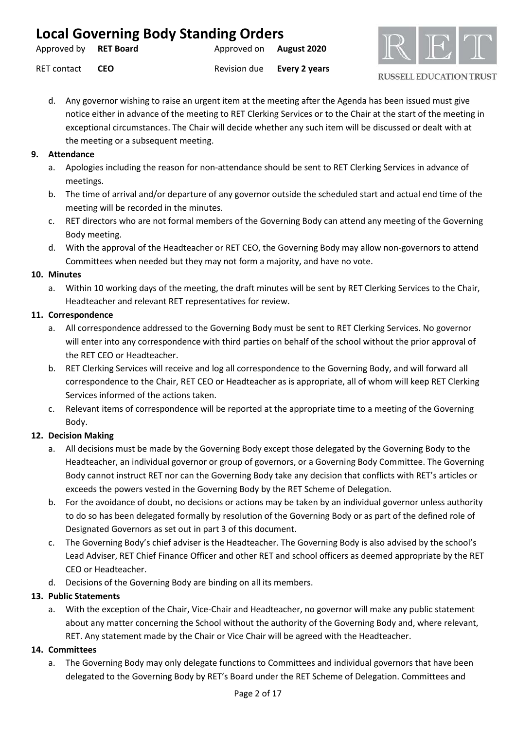| <b>Local Governing Body Standing Orders</b> |            |                                |  |  |  |
|---------------------------------------------|------------|--------------------------------|--|--|--|
| Approved by <b>RET Board</b>                |            | Approved on <b>August 2020</b> |  |  |  |
| RET contact                                 | <b>CEO</b> | Revision due Every 2 years     |  |  |  |



d. Any governor wishing to raise an urgent item at the meeting after the Agenda has been issued must give notice either in advance of the meeting to RET Clerking Services or to the Chair at the start of the meeting in exceptional circumstances. The Chair will decide whether any such item will be discussed or dealt with at the meeting or a subsequent meeting.

### **9. Attendance**

- a. Apologies including the reason for non-attendance should be sent to RET Clerking Services in advance of meetings.
- b. The time of arrival and/or departure of any governor outside the scheduled start and actual end time of the meeting will be recorded in the minutes.
- c. RET directors who are not formal members of the Governing Body can attend any meeting of the Governing Body meeting.
- d. With the approval of the Headteacher or RET CEO, the Governing Body may allow non-governors to attend Committees when needed but they may not form a majority, and have no vote.

### **10. Minutes**

a. Within 10 working days of the meeting, the draft minutes will be sent by RET Clerking Services to the Chair, Headteacher and relevant RET representatives for review.

### **11. Correspondence**

- a. All correspondence addressed to the Governing Body must be sent to RET Clerking Services. No governor will enter into any correspondence with third parties on behalf of the school without the prior approval of the RET CEO or Headteacher.
- b. RET Clerking Services will receive and log all correspondence to the Governing Body, and will forward all correspondence to the Chair, RET CEO or Headteacher as is appropriate, all of whom will keep RET Clerking Services informed of the actions taken.
- c. Relevant items of correspondence will be reported at the appropriate time to a meeting of the Governing Body.

### **12. Decision Making**

- a. All decisions must be made by the Governing Body except those delegated by the Governing Body to the Headteacher, an individual governor or group of governors, or a Governing Body Committee. The Governing Body cannot instruct RET nor can the Governing Body take any decision that conflicts with RET's articles or exceeds the powers vested in the Governing Body by the RET Scheme of Delegation.
- b. For the avoidance of doubt, no decisions or actions may be taken by an individual governor unless authority to do so has been delegated formally by resolution of the Governing Body or as part of the defined role of Designated Governors as set out in part 3 of this document.
- c. The Governing Body's chief adviser is the Headteacher. The Governing Body is also advised by the school's Lead Adviser, RET Chief Finance Officer and other RET and school officers as deemed appropriate by the RET CEO or Headteacher.
- d. Decisions of the Governing Body are binding on all its members.

### **13. Public Statements**

a. With the exception of the Chair, Vice-Chair and Headteacher, no governor will make any public statement about any matter concerning the School without the authority of the Governing Body and, where relevant, RET. Any statement made by the Chair or Vice Chair will be agreed with the Headteacher.

### **14. Committees**

a. The Governing Body may only delegate functions to Committees and individual governors that have been delegated to the Governing Body by RET's Board under the RET Scheme of Delegation. Committees and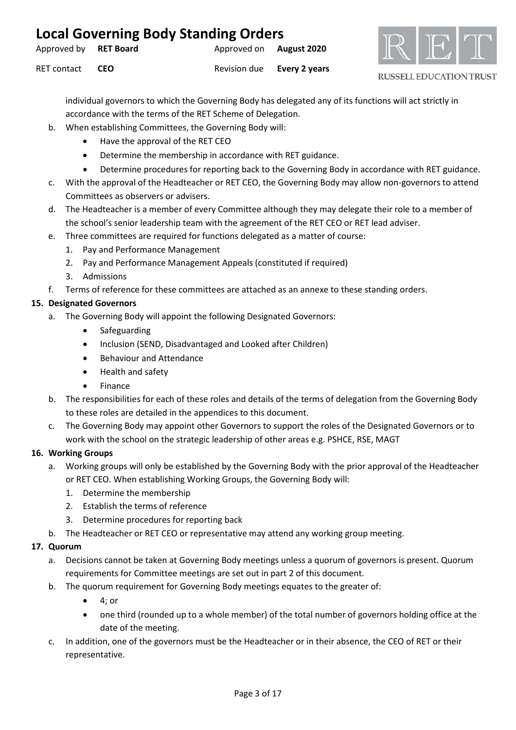| <b>Local Governing Body Standing Orders</b> |            |                                |                            |  |
|---------------------------------------------|------------|--------------------------------|----------------------------|--|
| Approved by RET Board                       |            | Approved on <b>August 2020</b> |                            |  |
| RET contact                                 | <b>CEO</b> |                                | Revision due Every 2 years |  |



individual governors to which the Governing Body has delegated any of its functions will act strictly in accordance with the terms of the RET Scheme of Delegation.

- b. When establishing Committees, the Governing Body will:
	- Have the approval of the RET CEO
	- Determine the membership in accordance with RET guidance.
	- Determine procedures for reporting back to the Governing Body in accordance with RET guidance.
- c. With the approval of the Headteacher or RET CEO, the Governing Body may allow non-governors to attend Committees as observers or advisers.
- d. The Headteacher is a member of every Committee although they may delegate their role to a member of the school's senior leadership team with the agreement of the RET CEO or RET lead adviser.
- e. Three committees are required for functions delegated as a matter of course:
	- 1. Pay and Performance Management
	- 2. Pay and Performance Management Appeals (constituted if required)
	- 3. Admissions
- f. Terms of reference for these committees are attached as an annexe to these standing orders.

## **15. Designated Governors**

- a. The Governing Body will appoint the following Designated Governors:
	- **Safeguarding**
	- Inclusion (SEND, Disadvantaged and Looked after Children)
	- Behaviour and Attendance
	- Health and safety
	- Finance
- b. The responsibilities for each of these roles and details of the terms of delegation from the Governing Body to these roles are detailed in the appendices to this document.
- c. The Governing Body may appoint other Governors to support the roles of the Designated Governors or to work with the school on the strategic leadership of other areas e.g. PSHCE, RSE, MAGT

### **16. Working Groups**

- a. Working groups will only be established by the Governing Body with the prior approval of the Headteacher or RET CEO. When establishing Working Groups, the Governing Body will:
	- 1. Determine the membership
	- 2. Establish the terms of reference
	- 3. Determine procedures for reporting back
- b. The Headteacher or RET CEO or representative may attend any working group meeting.

### **17. Quorum**

- a. Decisions cannot be taken at Governing Body meetings unless a quorum of governors is present. Quorum requirements for Committee meetings are set out in part 2 of this document.
- b. The quorum requirement for Governing Body meetings equates to the greater of:
	- 4; or
	- one third (rounded up to a whole member) of the total number of governors holding office at the date of the meeting.
- c. In addition, one of the governors must be the Headteacher or in their absence, the CEO of RET or their representative.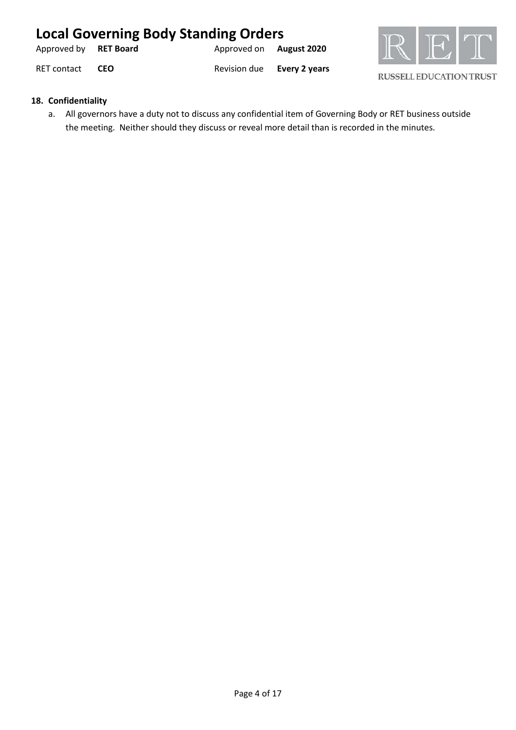| <b>Local Governing Body Standing Orders</b> |            |                                |                            |  |
|---------------------------------------------|------------|--------------------------------|----------------------------|--|
| Approved by RET Board                       |            | Approved on <b>August 2020</b> |                            |  |
| RET contact                                 | <b>CEO</b> |                                | Revision due Every 2 years |  |



### **18. Confidentiality**

a. All governors have a duty not to discuss any confidential item of Governing Body or RET business outside the meeting. Neither should they discuss or reveal more detail than is recorded in the minutes.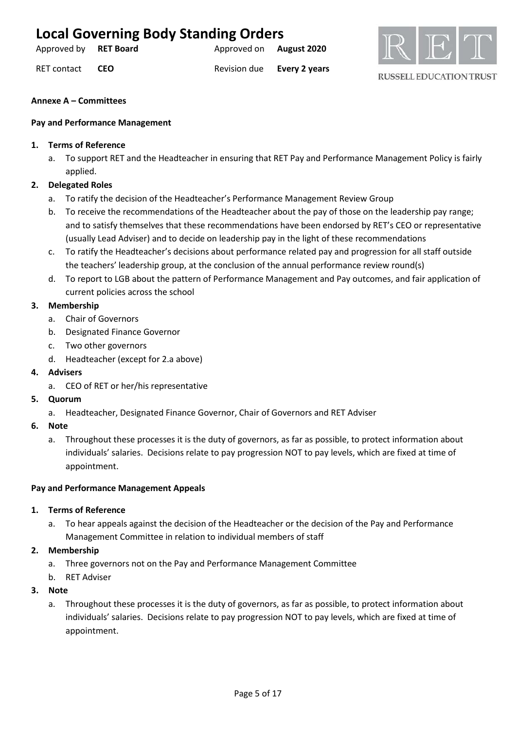Approved by **RET Board Approved on <b>August 2020** 

RET contact **CEO** Revision due **Every 2 years**



**RUSSELL EDUCATION TRUST** 

### **Annexe A – Committees**

### **Pay and Performance Management**

### **1. Terms of Reference**

a. To support RET and the Headteacher in ensuring that RET Pay and Performance Management Policy is fairly applied.

### **2. Delegated Roles**

- a. To ratify the decision of the Headteacher's Performance Management Review Group
- b. To receive the recommendations of the Headteacher about the pay of those on the leadership pay range; and to satisfy themselves that these recommendations have been endorsed by RET's CEO or representative (usually Lead Adviser) and to decide on leadership pay in the light of these recommendations
- c. To ratify the Headteacher's decisions about performance related pay and progression for all staff outside the teachers' leadership group, at the conclusion of the annual performance review round(s)
- d. To report to LGB about the pattern of Performance Management and Pay outcomes, and fair application of current policies across the school

### **3. Membership**

- a. Chair of Governors
- b. Designated Finance Governor
- c. Two other governors
- d. Headteacher (except for 2.a above)
- **4. Advisers**
	- a. CEO of RET or her/his representative
- **5. Quorum**
	- a. Headteacher, Designated Finance Governor, Chair of Governors and RET Adviser
- **6. Note**
	- a. Throughout these processes it is the duty of governors, as far as possible, to protect information about individuals' salaries. Decisions relate to pay progression NOT to pay levels, which are fixed at time of appointment.

### **Pay and Performance Management Appeals**

### **1. Terms of Reference**

- a. To hear appeals against the decision of the Headteacher or the decision of the Pay and Performance Management Committee in relation to individual members of staff
- **2. Membership**
	- a. Three governors not on the Pay and Performance Management Committee
	- b. RET Adviser

### **3. Note**

a. Throughout these processes it is the duty of governors, as far as possible, to protect information about individuals' salaries. Decisions relate to pay progression NOT to pay levels, which are fixed at time of appointment.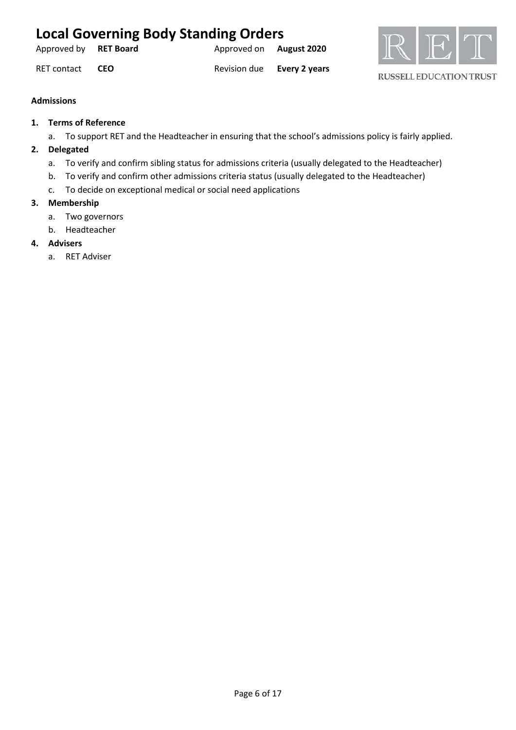| <b>Local Governing Body Standing Orders</b> |            |                                |                            |  |
|---------------------------------------------|------------|--------------------------------|----------------------------|--|
| Approved by <b>RET Board</b>                |            | Approved on <b>August 2020</b> |                            |  |
| <b>RET contact</b>                          | <b>CEO</b> |                                | Revision due Every 2 years |  |



## **Admissions**

- **1. Terms of Reference**
	- a. To support RET and the Headteacher in ensuring that the school's admissions policy is fairly applied.

### **2. Delegated**

- a. To verify and confirm sibling status for admissions criteria (usually delegated to the Headteacher)
- b. To verify and confirm other admissions criteria status (usually delegated to the Headteacher)
- c. To decide on exceptional medical or social need applications

### **3. Membership**

- a. Two governors
- b. Headteacher

### **4. Advisers**

a. RET Adviser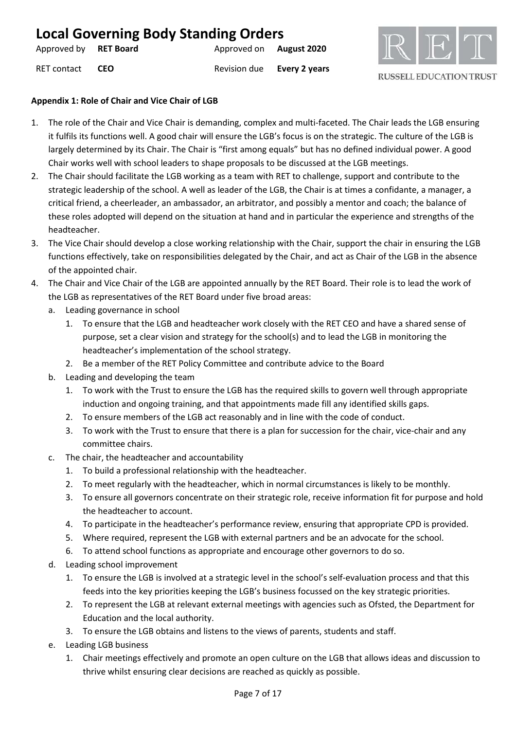| Approved by RET Board |            | Approved on August 2020 |                      |
|-----------------------|------------|-------------------------|----------------------|
| RET contact           | <b>CEO</b> | Revision due            | <b>Every 2 years</b> |



### **Appendix 1: Role of Chair and Vice Chair of LGB**

- 1. The role of the Chair and Vice Chair is demanding, complex and multi-faceted. The Chair leads the LGB ensuring it fulfils its functions well. A good chair will ensure the LGB's focus is on the strategic. The culture of the LGB is largely determined by its Chair. The Chair is "first among equals" but has no defined individual power. A good Chair works well with school leaders to shape proposals to be discussed at the LGB meetings.
- 2. The Chair should facilitate the LGB working as a team with RET to challenge, support and contribute to the strategic leadership of the school. A well as leader of the LGB, the Chair is at times a confidante, a manager, a critical friend, a cheerleader, an ambassador, an arbitrator, and possibly a mentor and coach; the balance of these roles adopted will depend on the situation at hand and in particular the experience and strengths of the headteacher.
- 3. The Vice Chair should develop a close working relationship with the Chair, support the chair in ensuring the LGB functions effectively, take on responsibilities delegated by the Chair, and act as Chair of the LGB in the absence of the appointed chair.
- 4. The Chair and Vice Chair of the LGB are appointed annually by the RET Board. Their role is to lead the work of the LGB as representatives of the RET Board under five broad areas:
	- a. Leading governance in school
		- 1. To ensure that the LGB and headteacher work closely with the RET CEO and have a shared sense of purpose, set a clear vision and strategy for the school(s) and to lead the LGB in monitoring the headteacher's implementation of the school strategy.
		- 2. Be a member of the RET Policy Committee and contribute advice to the Board
	- b. Leading and developing the team
		- 1. To work with the Trust to ensure the LGB has the required skills to govern well through appropriate induction and ongoing training, and that appointments made fill any identified skills gaps.
		- 2. To ensure members of the LGB act reasonably and in line with the code of conduct.
		- 3. To work with the Trust to ensure that there is a plan for succession for the chair, vice-chair and any committee chairs.
	- c. The chair, the headteacher and accountability
		- 1. To build a professional relationship with the headteacher.
		- 2. To meet regularly with the headteacher, which in normal circumstances is likely to be monthly.
		- 3. To ensure all governors concentrate on their strategic role, receive information fit for purpose and hold the headteacher to account.
		- 4. To participate in the headteacher's performance review, ensuring that appropriate CPD is provided.
		- 5. Where required, represent the LGB with external partners and be an advocate for the school.
		- 6. To attend school functions as appropriate and encourage other governors to do so.
	- d. Leading school improvement
		- 1. To ensure the LGB is involved at a strategic level in the school's self-evaluation process and that this feeds into the key priorities keeping the LGB's business focussed on the key strategic priorities.
		- 2. To represent the LGB at relevant external meetings with agencies such as Ofsted, the Department for Education and the local authority.
		- 3. To ensure the LGB obtains and listens to the views of parents, students and staff.
	- e. Leading LGB business
		- 1. Chair meetings effectively and promote an open culture on the LGB that allows ideas and discussion to thrive whilst ensuring clear decisions are reached as quickly as possible.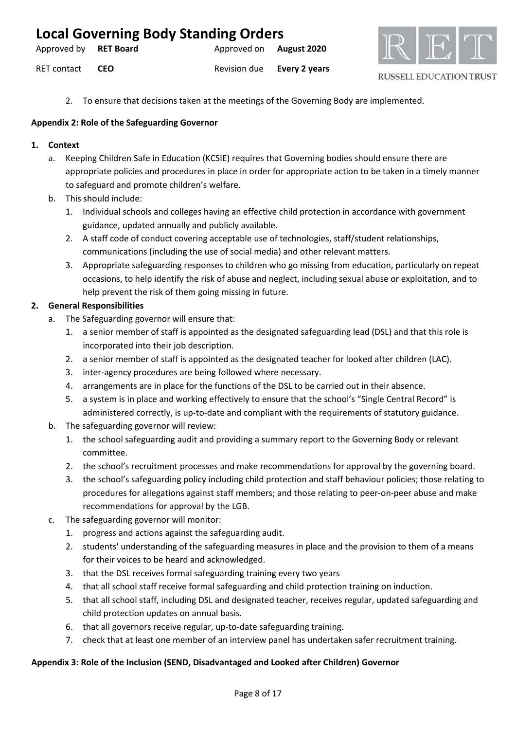| <b>Local Governing Body Standing Orders</b> |            |                                |                            |  |
|---------------------------------------------|------------|--------------------------------|----------------------------|--|
| Approved by RET Board                       |            | Approved on <b>August 2020</b> |                            |  |
| RET contact                                 | <b>CEO</b> |                                | Revision due Every 2 years |  |



2. To ensure that decisions taken at the meetings of the Governing Body are implemented.

### **Appendix 2: Role of the Safeguarding Governor**

### **1. Context**

- a. Keeping Children Safe in Education (KCSIE) requires that Governing bodies should ensure there are appropriate policies and procedures in place in order for appropriate action to be taken in a timely manner to safeguard and promote children's welfare.
- b. This should include:
	- 1. Individual schools and colleges having an effective child protection in accordance with government guidance, updated annually and publicly available.
	- 2. A staff code of conduct covering acceptable use of technologies, staff/student relationships, communications (including the use of social media) and other relevant matters.
	- 3. Appropriate safeguarding responses to children who go missing from education, particularly on repeat occasions, to help identify the risk of abuse and neglect, including sexual abuse or exploitation, and to help prevent the risk of them going missing in future.

### **2. General Responsibilities**

- a. The Safeguarding governor will ensure that:
	- 1. a senior member of staff is appointed as the designated safeguarding lead (DSL) and that this role is incorporated into their job description.
	- 2. a senior member of staff is appointed as the designated teacher for looked after children (LAC).
	- 3. inter-agency procedures are being followed where necessary.
	- 4. arrangements are in place for the functions of the DSL to be carried out in their absence.
	- 5. a system is in place and working effectively to ensure that the school's "Single Central Record" is administered correctly, is up-to-date and compliant with the requirements of statutory guidance.
- b. The safeguarding governor will review:
	- 1. the school safeguarding audit and providing a summary report to the Governing Body or relevant committee.
	- 2. the school's recruitment processes and make recommendations for approval by the governing board.
	- 3. the school's safeguarding policy including child protection and staff behaviour policies; those relating to procedures for allegations against staff members; and those relating to peer-on-peer abuse and make recommendations for approval by the LGB.
- c. The safeguarding governor will monitor:
	- 1. progress and actions against the safeguarding audit.
	- 2. students' understanding of the safeguarding measures in place and the provision to them of a means for their voices to be heard and acknowledged.
	- 3. that the DSL receives formal safeguarding training every two years
	- 4. that all school staff receive formal safeguarding and child protection training on induction.
	- 5. that all school staff, including DSL and designated teacher, receives regular, updated safeguarding and child protection updates on annual basis.
	- 6. that all governors receive regular, up-to-date safeguarding training.
	- 7. check that at least one member of an interview panel has undertaken safer recruitment training.

### **Appendix 3: Role of the Inclusion (SEND, Disadvantaged and Looked after Children) Governor**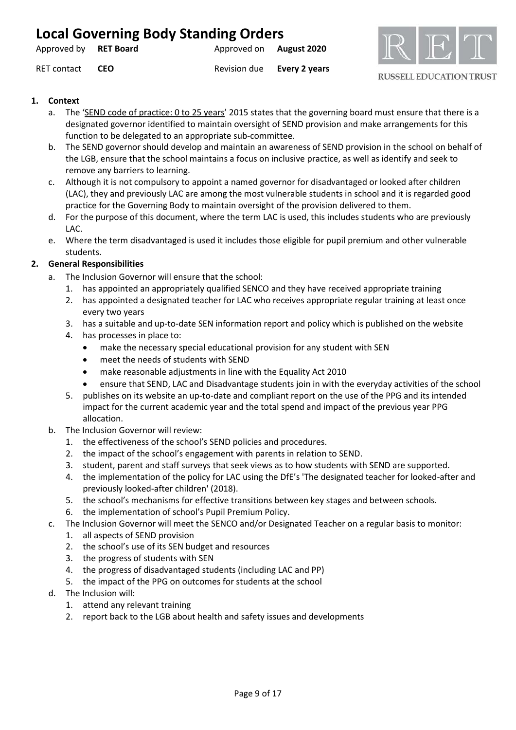| <b>Local Governing Body Standing Orders</b> |  |                                |  |  |
|---------------------------------------------|--|--------------------------------|--|--|
| Approved by RET Board                       |  | Approved on <b>August 2020</b> |  |  |

RET contact **CEO** Revision due **Every 2 years**



**RUSSELL EDUCATION TRUST** 

### **1. Context**

- a. The ['SEND code of practice: 0 to 25 years'](https://www.gov.uk/government/publications/send-code-of-practice-0-to-25) 2015 states that the governing board must ensure that there is a designated governor identified to maintain oversight of SEND provision and make arrangements for this function to be delegated to an appropriate sub-committee.
- b. The SEND governor should develop and maintain an awareness of SEND provision in the school on behalf of the LGB, ensure that the school maintains a focus on inclusive practice, as well as identify and seek to remove any barriers to learning.
- c. Although it is not compulsory to appoint a named governor for disadvantaged or looked after children (LAC), they and previously LAC are among the most vulnerable students in school and it is regarded good practice for the Governing Body to maintain oversight of the provision delivered to them.
- d. For the purpose of this document, where the term LAC is used, this includes students who are previously LAC.
- e. Where the term disadvantaged is used it includes those eligible for pupil premium and other vulnerable students.

## **2. General Responsibilities**

- a. The Inclusion Governor will ensure that the school:
	- 1. has appointed an appropriately qualified SENCO and they have received appropriate training
	- 2. has appointed a designated teacher for LAC who receives appropriate regular training at least once every two years
	- 3. has a suitable and up-to-date SEN information report and policy which is published on the website
	- 4. has processes in place to:
		- make the necessary special educational provision for any student with SEN
		- meet the needs of students with SEND
		- make reasonable adjustments in line with the Equality Act 2010
		- ensure that SEND, LAC and Disadvantage students join in with the everyday activities of the school
	- 5. publishes on its website an up-to-date and compliant report on the use of the PPG and its intended impact for the current academic year and the total spend and impact of the previous year PPG allocation.
- b. The Inclusion Governor will review:
	- 1. the effectiveness of the school's SEND policies and procedures.
	- 2. the impact of the school's engagement with parents in relation to SEND.
	- 3. student, parent and staff surveys that seek views as to how students with SEND are supported.
	- 4. the implementation of the policy for LAC using the DfE's 'The designated teacher for looked-after and previously looked-after children' (2018).
	- 5. the school's mechanisms for effective transitions between key stages and between schools.
	- 6. the implementation of school's Pupil Premium Policy.
- c. The Inclusion Governor will meet the SENCO and/or Designated Teacher on a regular basis to monitor:
	- 1. all aspects of SEND provision
	- 2. the school's use of its SEN budget and resources
	- 3. the progress of students with SEN
	- 4. the progress of disadvantaged students (including LAC and PP)
	- 5. the impact of the PPG on outcomes for students at the school
- d. The Inclusion will:
	- 1. attend any relevant training
	- 2. report back to the LGB about health and safety issues and developments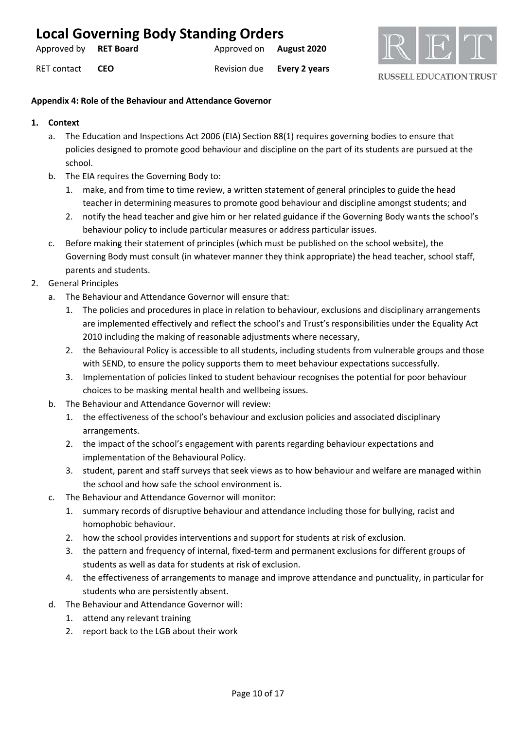| Approved by RET Board |            | Approved on <b>August 2020</b> |                      |
|-----------------------|------------|--------------------------------|----------------------|
| RET contact           | <b>CEO</b> | Revision due                   | <b>Every 2 years</b> |



**RUSSELL EDUCATION TRUST** 

### **Appendix 4: Role of the Behaviour and Attendance Governor**

- **1. Context**
	- a. The Education and Inspections Act 2006 (EIA) Section 88(1) requires governing bodies to ensure that policies designed to promote good behaviour and discipline on the part of its students are pursued at the school.
	- b. The EIA requires the Governing Body to:
		- 1. make, and from time to time review, a written statement of general principles to guide the head teacher in determining measures to promote good behaviour and discipline amongst students; and
		- 2. notify the head teacher and give him or her related guidance if the Governing Body wants the school's behaviour policy to include particular measures or address particular issues.
	- c. Before making their statement of principles (which must be published on the school website), the Governing Body must consult (in whatever manner they think appropriate) the head teacher, school staff, parents and students.
- 2. General Principles
	- a. The Behaviour and Attendance Governor will ensure that:
		- 1. The policies and procedures in place in relation to behaviour, exclusions and disciplinary arrangements are implemented effectively and reflect the school's and Trust's responsibilities under the Equality Act 2010 including the making of reasonable adjustments where necessary,
		- 2. the Behavioural Policy is accessible to all students, including students from vulnerable groups and those with SEND, to ensure the policy supports them to meet behaviour expectations successfully.
		- 3. Implementation of policies linked to student behaviour recognises the potential for poor behaviour choices to be masking mental health and wellbeing issues.
	- b. The Behaviour and Attendance Governor will review:
		- 1. the effectiveness of the school's behaviour and exclusion policies and associated disciplinary arrangements.
		- 2. the impact of the school's engagement with parents regarding behaviour expectations and implementation of the Behavioural Policy.
		- 3. student, parent and staff surveys that seek views as to how behaviour and welfare are managed within the school and how safe the school environment is.
	- c. The Behaviour and Attendance Governor will monitor:
		- 1. summary records of disruptive behaviour and attendance including those for bullying, racist and homophobic behaviour.
		- 2. how the school provides interventions and support for students at risk of exclusion.
		- 3. the pattern and frequency of internal, fixed-term and permanent exclusions for different groups of students as well as data for students at risk of exclusion.
		- 4. the effectiveness of arrangements to manage and improve attendance and punctuality, in particular for students who are persistently absent.
	- d. The Behaviour and Attendance Governor will:
		- 1. attend any relevant training
		- 2. report back to the LGB about their work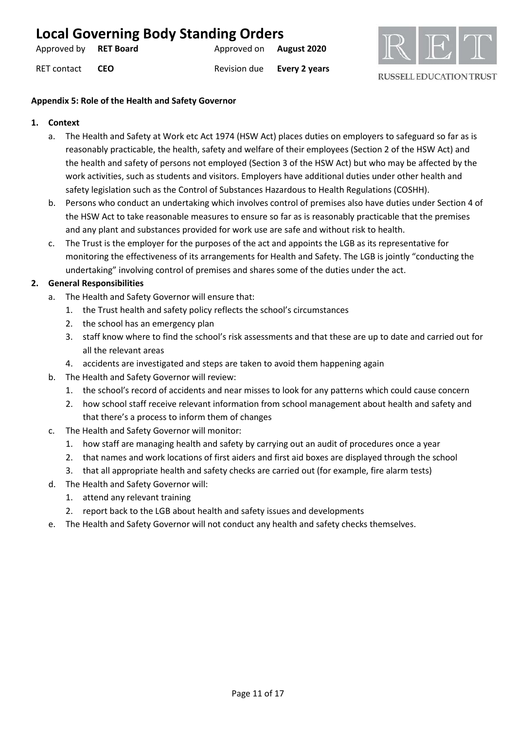| Approved by <b>RET Board</b> |            | Approved on <b>August 2020</b> |                      |
|------------------------------|------------|--------------------------------|----------------------|
| RET contact                  | <b>CEO</b> | Revision due                   | <b>Every 2 years</b> |



**RUSSELL EDUCATION TRUST** 

### **Appendix 5: Role of the Health and Safety Governor**

### **1. Context**

- a. The Health and Safety at Work etc Act 1974 (HSW Act) places duties on employers to safeguard so far as is reasonably practicable, the health, safety and welfare of their employees (Section 2 of the HSW Act) and the health and safety of persons not employed (Section 3 of the HSW Act) but who may be affected by the work activities, such as students and visitors. Employers have additional duties under other health and safety legislation such as the Control of Substances Hazardous to Health Regulations (COSHH).
- b. Persons who conduct an undertaking which involves control of premises also have duties under Section 4 of the HSW Act to take reasonable measures to ensure so far as is reasonably practicable that the premises and any plant and substances provided for work use are safe and without risk to health.
- c. The Trust is the employer for the purposes of the act and appoints the LGB as its representative for monitoring the effectiveness of its arrangements for Health and Safety. The LGB is jointly "conducting the undertaking" involving control of premises and shares some of the duties under the act.

### **2. General Responsibilities**

- a. The Health and Safety Governor will ensure that:
	- 1. the Trust health and safety policy reflects the school's circumstances
	- 2. the school has an emergency plan
	- 3. staff know where to find the school's risk assessments and that these are up to date and carried out for all the relevant areas
	- 4. accidents are investigated and steps are taken to avoid them happening again
- b. The Health and Safety Governor will review:
	- 1. the school's record of accidents and near misses to look for any patterns which could cause concern
	- 2. how school staff receive relevant information from school management about health and safety and that there's a process to inform them of changes
- c. The Health and Safety Governor will monitor:
	- 1. how staff are managing health and safety by carrying out an audit of procedures once a year
	- 2. that names and work locations of first aiders and first aid boxes are displayed through the school
	- 3. that all appropriate health and safety checks are carried out (for example, fire alarm tests)
- d. The Health and Safety Governor will:
	- 1. attend any relevant training
	- 2. report back to the LGB about health and safety issues and developments
- e. The Health and Safety Governor will not conduct any health and safety checks themselves.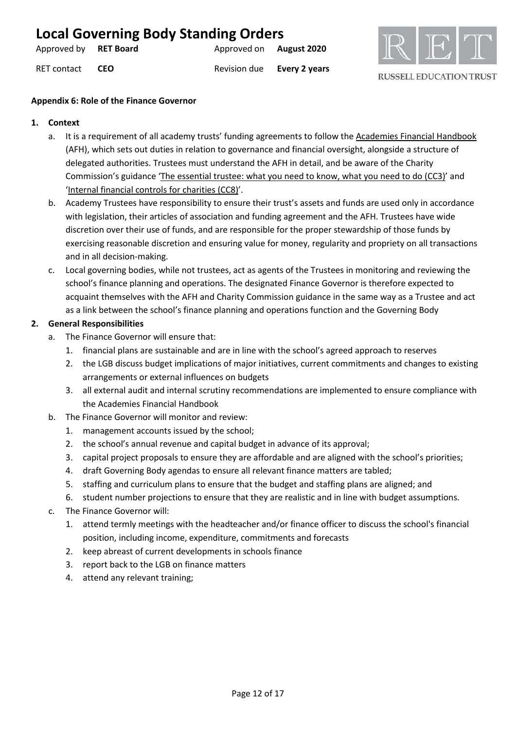| Approved by RET Board |            | Approved on <b>August 2020</b> |                      |
|-----------------------|------------|--------------------------------|----------------------|
| RET contact           | <b>CEO</b> | Revision due                   | <b>Every 2 years</b> |



**RUSSELL EDUCATION TRUST** 

### **Appendix 6: Role of the Finance Governor**

### **1. Context**

- a. It is a requirement of all academy trusts' funding agreements to follow th[e Academies Financial Handbook](https://www.gov.uk/guidance/academies-financial-handbook) (AFH), which sets out duties in relation to governance and financial oversight, alongside a structure of delegated authorities. Trustees must understand the AFH in detail, and be aware of the Charity Commission's guidance ['The essential trustee: what you need to know, what you need to do \(CC3\)'](http://www.charitycommission.gov.uk/publications/cc3.aspx) and ['Internal financial controls for charities \(CC8\)'](http://www.charitycommission.gov.uk/publications/cc8.aspx).
- b. Academy Trustees have responsibility to ensure their trust's assets and funds are used only in accordance with legislation, their articles of association and funding agreement and the AFH. Trustees have wide discretion over their use of funds, and are responsible for the proper stewardship of those funds by exercising reasonable discretion and ensuring value for money, regularity and propriety on all transactions and in all decision-making.
- c. Local governing bodies, while not trustees, act as agents of the Trustees in monitoring and reviewing the school's finance planning and operations. The designated Finance Governor is therefore expected to acquaint themselves with the AFH and Charity Commission guidance in the same way as a Trustee and act as a link between the school's finance planning and operations function and the Governing Body

# **2. General Responsibilities**

- a. The Finance Governor will ensure that:
	- 1. financial plans are sustainable and are in line with the school's agreed approach to reserves
	- 2. the LGB discuss budget implications of major initiatives, current commitments and changes to existing arrangements or external influences on budgets
	- 3. all external audit and internal scrutiny recommendations are implemented to ensure compliance with the Academies Financial Handbook
- b. The Finance Governor will monitor and review:
	- 1. management accounts issued by the school;
	- 2. the school's annual revenue and capital budget in advance of its approval;
	- 3. capital project proposals to ensure they are affordable and are aligned with the school's priorities;
	- 4. draft Governing Body agendas to ensure all relevant finance matters are tabled;
	- 5. staffing and curriculum plans to ensure that the budget and staffing plans are aligned; and
	- 6. student number projections to ensure that they are realistic and in line with budget assumptions.
- c. The Finance Governor will:
	- 1. attend termly meetings with the headteacher and/or finance officer to discuss the school's financial position, including income, expenditure, commitments and forecasts
	- 2. keep abreast of current developments in schools finance
	- 3. report back to the LGB on finance matters
	- 4. attend any relevant training;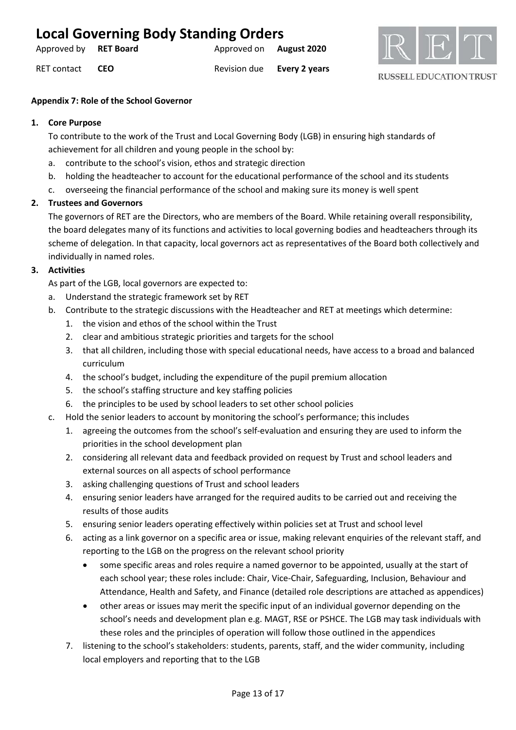| Approved by RET Board |            | Approved on <b>August 2020</b> |                      |
|-----------------------|------------|--------------------------------|----------------------|
| RET contact           | <b>CEO</b> | Revision due                   | <b>Every 2 years</b> |



### **Appendix 7: Role of the School Governor**

### **1. Core Purpose**

To contribute to the work of the Trust and Local Governing Body (LGB) in ensuring high standards of achievement for all children and young people in the school by:

- a. contribute to the school's vision, ethos and strategic direction
- b. holding the headteacher to account for the educational performance of the school and its students
- c. overseeing the financial performance of the school and making sure its money is well spent

### **2. Trustees and Governors**

The governors of RET are the Directors, who are members of the Board. While retaining overall responsibility, the board delegates many of its functions and activities to local governing bodies and headteachers through its scheme of delegation. In that capacity, local governors act as representatives of the Board both collectively and individually in named roles.

### **3. Activities**

As part of the LGB, local governors are expected to:

- a. Understand the strategic framework set by RET
- b. Contribute to the strategic discussions with the Headteacher and RET at meetings which determine:
	- 1. the vision and ethos of the school within the Trust
	- 2. clear and ambitious strategic priorities and targets for the school
	- 3. that all children, including those with special educational needs, have access to a broad and balanced curriculum
	- 4. the school's budget, including the expenditure of the pupil premium allocation
	- 5. the school's staffing structure and key staffing policies
	- 6. the principles to be used by school leaders to set other school policies
- c. Hold the senior leaders to account by monitoring the school's performance; this includes
	- 1. agreeing the outcomes from the school's self-evaluation and ensuring they are used to inform the priorities in the school development plan
	- 2. considering all relevant data and feedback provided on request by Trust and school leaders and external sources on all aspects of school performance
	- 3. asking challenging questions of Trust and school leaders
	- 4. ensuring senior leaders have arranged for the required audits to be carried out and receiving the results of those audits
	- 5. ensuring senior leaders operating effectively within policies set at Trust and school level
	- 6. acting as a link governor on a specific area or issue, making relevant enquiries of the relevant staff, and reporting to the LGB on the progress on the relevant school priority
		- some specific areas and roles require a named governor to be appointed, usually at the start of each school year; these roles include: Chair, Vice-Chair, Safeguarding, Inclusion, Behaviour and Attendance, Health and Safety, and Finance (detailed role descriptions are attached as appendices)
		- other areas or issues may merit the specific input of an individual governor depending on the school's needs and development plan e.g. MAGT, RSE or PSHCE. The LGB may task individuals with these roles and the principles of operation will follow those outlined in the appendices
	- 7. listening to the school's stakeholders: students, parents, staff, and the wider community, including local employers and reporting that to the LGB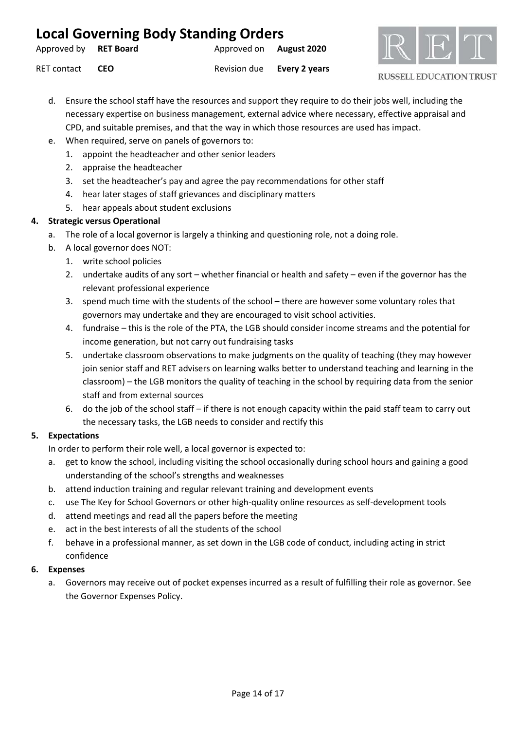| <b>Local Governing Body Standing Orders</b> |            |                                |                            |
|---------------------------------------------|------------|--------------------------------|----------------------------|
| Approved by <b>RET Board</b>                |            | Approved on <b>August 2020</b> |                            |
| RET contact                                 | <b>CEO</b> |                                | Revision due Every 2 years |



- d. Ensure the school staff have the resources and support they require to do their jobs well, including the necessary expertise on business management, external advice where necessary, effective appraisal and CPD, and suitable premises, and that the way in which those resources are used has impact.
- e. When required, serve on panels of governors to:
	- 1. appoint the headteacher and other senior leaders
	- 2. appraise the headteacher
	- 3. set the headteacher's pay and agree the pay recommendations for other staff
	- 4. hear later stages of staff grievances and disciplinary matters
	- 5. hear appeals about student exclusions

### **4. Strategic versus Operational**

- a. The role of a local governor is largely a thinking and questioning role, not a doing role.
- b. A local governor does NOT:
	- 1. write school policies
	- 2. undertake audits of any sort whether financial or health and safety even if the governor has the relevant professional experience
	- 3. spend much time with the students of the school there are however some voluntary roles that governors may undertake and they are encouraged to visit school activities.
	- 4. fundraise this is the role of the PTA, the LGB should consider income streams and the potential for income generation, but not carry out fundraising tasks
	- 5. undertake classroom observations to make judgments on the quality of teaching (they may however join senior staff and RET advisers on learning walks better to understand teaching and learning in the classroom) – the LGB monitors the quality of teaching in the school by requiring data from the senior staff and from external sources
	- 6. do the job of the school staff if there is not enough capacity within the paid staff team to carry out the necessary tasks, the LGB needs to consider and rectify this

### **5. Expectations**

In order to perform their role well, a local governor is expected to:

- a. get to know the school, including visiting the school occasionally during school hours and gaining a good understanding of the school's strengths and weaknesses
- b. attend induction training and regular relevant training and development events
- c. use The Key for School Governors or other high-quality online resources as self-development tools
- d. attend meetings and read all the papers before the meeting
- e. act in the best interests of all the students of the school
- f. behave in a professional manner, as set down in the LGB code of conduct, including acting in strict confidence

### **6. Expenses**

a. Governors may receive out of pocket expenses incurred as a result of fulfilling their role as governor. See the Governor Expenses Policy.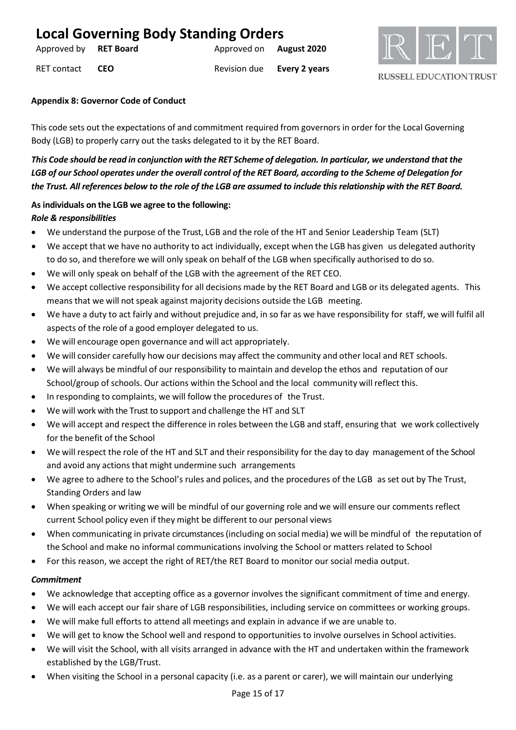| <b>Local Governing Body Standing Orders</b> |      |                                |                            |
|---------------------------------------------|------|--------------------------------|----------------------------|
| Approved by RET Board                       |      | Approved on <b>August 2020</b> |                            |
| RET contact                                 | CFO. |                                | Revision due Every 2 years |



### **Appendix 8: Governor Code of Conduct**

This code sets out the expectations of and commitment required from governors in order for the Local Governing Body (LGB) to properly carry out the tasks delegated to it by the RET Board.

*This Code should be read in conjunction with the RET Scheme of delegation. In particular, we understand that the LGB of our School operates under the overall control of the RET Board, according to the Scheme of Delegation for the Trust. All references below to the role of the LGB are assumed to include this relationship with the RET Board.*

## **Asindividuals on the LGB we agree to the following:** *Role & responsibilities*

- We understand the purpose of the Trust, LGB and the role of the HT and Senior Leadership Team (SLT)
- We accept that we have no authority to act individually, except when the LGB has given us delegated authority to do so, and therefore we will only speak on behalf of the LGB when specifically authorised to do so.
- We will only speak on behalf of the LGB with the agreement of the RET CEO.
- We accept collective responsibility for all decisions made by the RET Board and LGB or its delegated agents. This means that we will not speak against majority decisions outside the LGB meeting.
- We have a duty to act fairly and without prejudice and, in so far as we have responsibility for staff, we will fulfil all aspects of the role of a good employer delegated to us.
- We will encourage open governance and will act appropriately.
- We will consider carefully how our decisions may affect the community and other local and RET schools.
- We will always be mindful of our responsibility to maintain and develop the ethos and reputation of our School/group of schools. Our actions within the School and the local community will reflect this.
- In responding to complaints, we will follow the procedures of the Trust.
- We will work with the Trust to support and challenge the HT and SLT
- We will accept and respect the difference in roles between the LGB and staff, ensuring that we work collectively for the benefit of the School
- We will respect the role of the HT and SLT and their responsibility for the day to day management of the School and avoid any actions that might undermine such arrangements
- We agree to adhere to the School's rules and polices, and the procedures of the LGB as set out by The Trust, Standing Orders and law
- When speaking or writing we will be mindful of our governing role and we will ensure our comments reflect current School policy even if they might be different to our personal views
- When communicating in private circumstances (including on social media) we will be mindful of the reputation of the School and make no informal communications involving the School or matters related to School
- For this reason, we accept the right of RET/the RET Board to monitor our social media output.

### *Commitment*

- We acknowledge that accepting office as a governor involves the significant commitment of time and energy.
- We will each accept our fair share of LGB responsibilities, including service on committees or working groups.
- We will make full efforts to attend all meetings and explain in advance if we are unable to.
- We will get to know the School well and respond to opportunities to involve ourselves in School activities.
- We will visit the School, with all visits arranged in advance with the HT and undertaken within the framework established by the LGB/Trust.
- When visiting the School in a personal capacity (i.e. as a parent or carer), we will maintain our underlying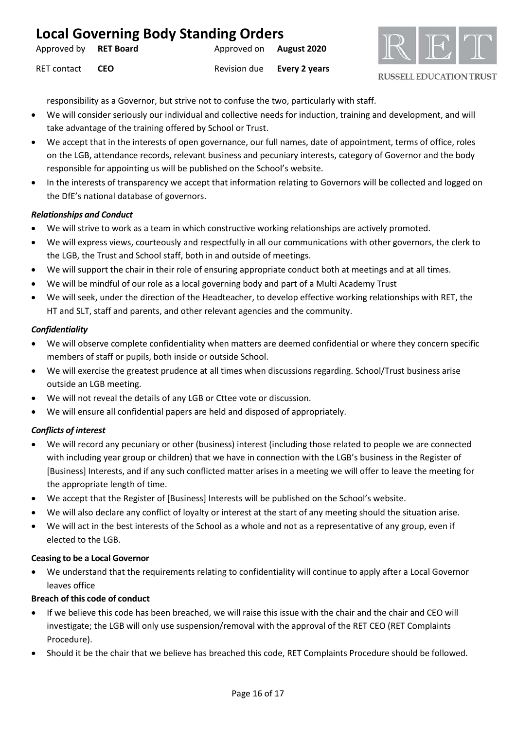| <b>Local Governing Body Standing Orders</b> |            |                                |                            |
|---------------------------------------------|------------|--------------------------------|----------------------------|
| Approved by RET Board                       |            | Approved on <b>August 2020</b> |                            |
| RET contact                                 | <b>CEO</b> |                                | Revision due Every 2 years |



responsibility as a Governor, but strive not to confuse the two, particularly with staff.

- We will consider seriously our individual and collective needs for induction, training and development, and will take advantage of the training offered by School or Trust.
- We accept that in the interests of open governance, our full names, date of appointment, terms of office, roles on the LGB, attendance records, relevant business and pecuniary interests, category of Governor and the body responsible for appointing us will be published on the School's website.
- In the interests of transparency we accept that information relating to Governors will be collected and logged on the DfE's national database of governors.

### *Relationships and Conduct*

- We will strive to work as a team in which constructive working relationships are actively promoted.
- We will express views, courteously and respectfully in all our communications with other governors, the clerk to the LGB, the Trust and School staff, both in and outside of meetings.
- We will support the chair in their role of ensuring appropriate conduct both at meetings and at all times.
- We will be mindful of our role as a local governing body and part of a Multi Academy Trust
- We will seek, under the direction of the Headteacher, to develop effective working relationships with RET, the HT and SLT, staff and parents, and other relevant agencies and the community.

### *Confidentiality*

- We will observe complete confidentiality when matters are deemed confidential or where they concern specific members of staff or pupils, both inside or outside School.
- We will exercise the greatest prudence at all times when discussions regarding. School/Trust business arise outside an LGB meeting.
- We will not reveal the details of any LGB or Cttee vote or discussion.
- We will ensure all confidential papers are held and disposed of appropriately.

### *Conflicts of interest*

- We will record any pecuniary or other (business) interest (including those related to people we are connected with including year group or children) that we have in connection with the LGB's business in the Register of [Business] Interests, and if any such conflicted matter arises in a meeting we will offer to leave the meeting for the appropriate length of time.
- We accept that the Register of [Business] Interests will be published on the School's website.
- We will also declare any conflict of loyalty or interest at the start of any meeting should the situation arise.
- We will act in the best interests of the School as a whole and not as a representative of any group, even if elected to the LGB.

### **Ceasing to be a Local Governor**

• We understand that the requirements relating to confidentiality will continue to apply after a Local Governor leaves office

### **Breach of this code of conduct**

- If we believe this code has been breached, we will raise this issue with the chair and the chair and CEO will investigate; the LGB will only use suspension/removal with the approval of the RET CEO (RET Complaints Procedure).
- Should it be the chair that we believe has breached this code, RET Complaints Procedure should be followed.